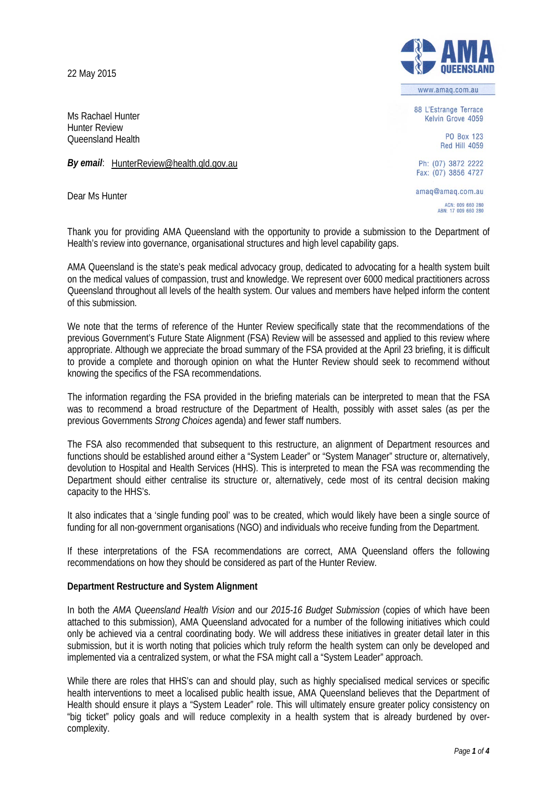22 May 2015

Ms Rachael Hunter Hunter Review Queensland Health

*By email*: [HunterReview@health.qld.gov.au](mailto:HunterReview@health.qld.gov.au)

Dear Ms Hunter



www.amag.com.au

88 L'Estrange Terrace Kelvin Grove 4059

> PO Box 123 Red Hill 4059

Ph: (07) 3872 2222 Fax: (07) 3856 4727

amaq@amaq.com.au ACN: 009 660 280<br>ABN: 17 009 660 280

Thank you for providing AMA Queensland with the opportunity to provide a submission to the Department of Health's review into governance, organisational structures and high level capability gaps.

AMA Queensland is the state's peak medical advocacy group, dedicated to advocating for a health system built on the medical values of compassion, trust and knowledge. We represent over 6000 medical practitioners across Queensland throughout all levels of the health system. Our values and members have helped inform the content of this submission.

We note that the terms of reference of the Hunter Review specifically state that the recommendations of the previous Government's Future State Alignment (FSA) Review will be assessed and applied to this review where appropriate. Although we appreciate the broad summary of the FSA provided at the April 23 briefing, it is difficult to provide a complete and thorough opinion on what the Hunter Review should seek to recommend without knowing the specifics of the FSA recommendations.

The information regarding the FSA provided in the briefing materials can be interpreted to mean that the FSA was to recommend a broad restructure of the Department of Health, possibly with asset sales (as per the previous Governments *Strong Choices* agenda) and fewer staff numbers.

The FSA also recommended that subsequent to this restructure, an alignment of Department resources and functions should be established around either a "System Leader" or "System Manager" structure or, alternatively, devolution to Hospital and Health Services (HHS). This is interpreted to mean the FSA was recommending the Department should either centralise its structure or, alternatively, cede most of its central decision making capacity to the HHS's.

It also indicates that a 'single funding pool' was to be created, which would likely have been a single source of funding for all non-government organisations (NGO) and individuals who receive funding from the Department.

If these interpretations of the FSA recommendations are correct, AMA Queensland offers the following recommendations on how they should be considered as part of the Hunter Review.

# **Department Restructure and System Alignment**

In both the *AMA Queensland Health Vision* and our *2015-16 Budget Submission* (copies of which have been attached to this submission), AMA Queensland advocated for a number of the following initiatives which could only be achieved via a central coordinating body. We will address these initiatives in greater detail later in this submission, but it is worth noting that policies which truly reform the health system can only be developed and implemented via a centralized system, or what the FSA might call a "System Leader" approach.

While there are roles that HHS's can and should play, such as highly specialised medical services or specific health interventions to meet a localised public health issue, AMA Queensland believes that the Department of Health should ensure it plays a "System Leader" role. This will ultimately ensure greater policy consistency on "big ticket" policy goals and will reduce complexity in a health system that is already burdened by overcomplexity.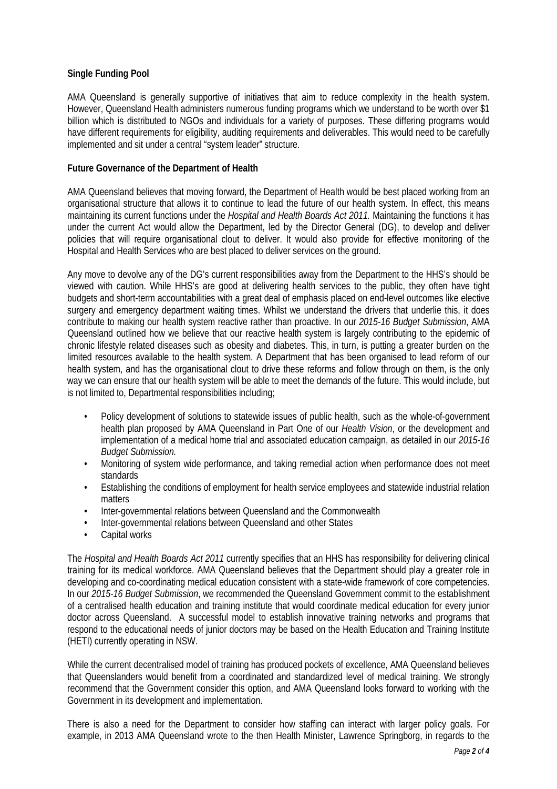## **Single Funding Pool**

AMA Queensland is generally supportive of initiatives that aim to reduce complexity in the health system. However, Queensland Health administers numerous funding programs which we understand to be worth over \$1 billion which is distributed to NGOs and individuals for a variety of purposes. These differing programs would have different requirements for eligibility, auditing requirements and deliverables. This would need to be carefully implemented and sit under a central "system leader" structure.

## **Future Governance of the Department of Health**

AMA Queensland believes that moving forward, the Department of Health would be best placed working from an organisational structure that allows it to continue to lead the future of our health system. In effect, this means maintaining its current functions under the *Hospital and Health Boards Act 2011.* Maintaining the functions it has under the current Act would allow the Department, led by the Director General (DG), to develop and deliver policies that will require organisational clout to deliver. It would also provide for effective monitoring of the Hospital and Health Services who are best placed to deliver services on the ground.

Any move to devolve any of the DG's current responsibilities away from the Department to the HHS's should be viewed with caution. While HHS's are good at delivering health services to the public, they often have tight budgets and short-term accountabilities with a great deal of emphasis placed on end-level outcomes like elective surgery and emergency department waiting times. Whilst we understand the drivers that underlie this, it does contribute to making our health system reactive rather than proactive. In our *2015-16 Budget Submission*, AMA Queensland outlined how we believe that our reactive health system is largely contributing to the epidemic of chronic lifestyle related diseases such as obesity and diabetes. This, in turn, is putting a greater burden on the limited resources available to the health system. A Department that has been organised to lead reform of our health system, and has the organisational clout to drive these reforms and follow through on them, is the only way we can ensure that our health system will be able to meet the demands of the future. This would include, but is not limited to, Departmental responsibilities including;

- Policy development of solutions to statewide issues of public health, such as the whole-of-government health plan proposed by AMA Queensland in Part One of our *Health Vision*, or the development and implementation of a medical home trial and associated education campaign, as detailed in our *2015-16 Budget Submission.*
- Monitoring of system wide performance, and taking remedial action when performance does not meet standards
- Establishing the conditions of employment for health service employees and statewide industrial relation matters
- Inter-governmental relations between Queensland and the Commonwealth
- Inter-governmental relations between Queensland and other States
- Capital works

The *Hospital and Health Boards Act 2011* currently specifies that an HHS has responsibility for delivering clinical training for its medical workforce. AMA Queensland believes that the Department should play a greater role in developing and co-coordinating medical education consistent with a state-wide framework of core competencies. In our *2015-16 Budget Submission*, we recommended the Queensland Government commit to the establishment of a centralised health education and training institute that would coordinate medical education for every junior doctor across Queensland. A successful model to establish innovative training networks and programs that respond to the educational needs of junior doctors may be based on the Health Education and Training Institute (HETI) currently operating in NSW.

While the current decentralised model of training has produced pockets of excellence, AMA Queensland believes that Queenslanders would benefit from a coordinated and standardized level of medical training. We strongly recommend that the Government consider this option, and AMA Queensland looks forward to working with the Government in its development and implementation.

There is also a need for the Department to consider how staffing can interact with larger policy goals. For example, in 2013 AMA Queensland wrote to the then Health Minister, Lawrence Springborg, in regards to the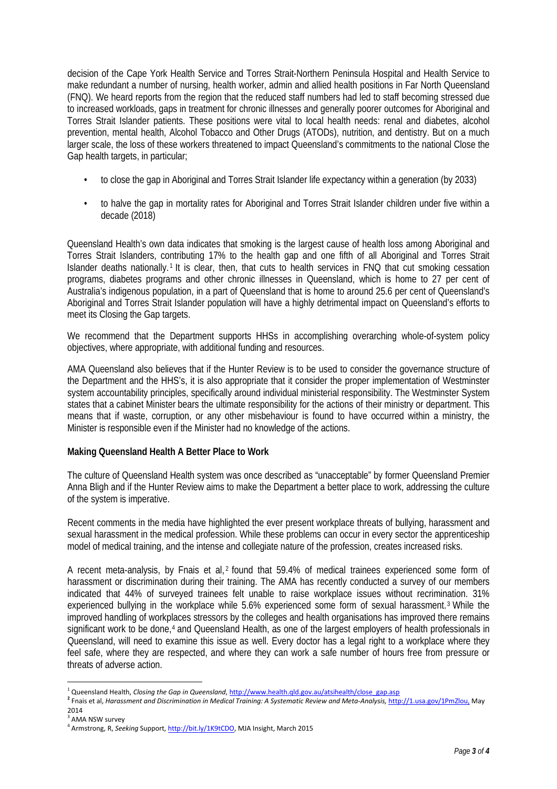decision of the Cape York Health Service and Torres Strait-Northern Peninsula Hospital and Health Service to make redundant a number of nursing, health worker, admin and allied health positions in Far North Queensland (FNQ). We heard reports from the region that the reduced staff numbers had led to staff becoming stressed due to increased workloads, gaps in treatment for chronic illnesses and generally poorer outcomes for Aboriginal and Torres Strait Islander patients. These positions were vital to local health needs: renal and diabetes, alcohol prevention, mental health, Alcohol Tobacco and Other Drugs (ATODs), nutrition, and dentistry. But on a much larger scale, the loss of these workers threatened to impact Queensland's commitments to the national Close the Gap health targets, in particular;

- to close the gap in Aboriginal and Torres Strait Islander life expectancy within a generation (by 2033)
- to halve the gap in mortality rates for Aboriginal and Torres Strait Islander children under five within a decade (2018)

Queensland Health's own data indicates that smoking is the largest cause of health loss among Aboriginal and Torres Strait Islanders, contributing 17% to the health gap and one fifth of all Aboriginal and Torres Strait Islander deaths nationally.<sup>[1](#page-2-0)</sup> It is clear, then, that cuts to health services in FNQ that cut smoking cessation programs, diabetes programs and other chronic illnesses in Queensland, which is home to 27 per cent of Australia's indigenous population, in a part of Queensland that is home to around 25.6 per cent of Queensland's Aboriginal and Torres Strait Islander population will have a highly detrimental impact on Queensland's efforts to meet its Closing the Gap targets.

We recommend that the Department supports HHSs in accomplishing overarching whole-of-system policy objectives, where appropriate, with additional funding and resources.

AMA Queensland also believes that if the Hunter Review is to be used to consider the governance structure of the Department and the HHS's, it is also appropriate that it consider the proper implementation of Westminster system accountability principles, specifically around individual ministerial responsibility. The Westminster System states that a cabinet Minister bears the ultimate responsibility for the actions of their ministry or department. This means that if waste, corruption, or any other misbehaviour is found to have occurred within a ministry, the Minister is responsible even if the Minister had no knowledge of the actions.

#### **Making Queensland Health A Better Place to Work**

The culture of Queensland Health system was once described as "unacceptable" by former Queensland Premier Anna Bligh and if the Hunter Review aims to make the Department a better place to work, addressing the culture of the system is imperative.

Recent comments in the media have highlighted the ever present workplace threats of bullying, harassment and sexual harassment in the medical profession. While these problems can occur in every sector the apprenticeship model of medical training, and the intense and collegiate nature of the profession, creates increased risks.

A recent meta-analysis, by Fnais et al,<sup>[2](#page-2-1)</sup> found that 59.4% of medical trainees experienced some form of harassment or discrimination during their training. The AMA has recently conducted a survey of our members indicated that 44% of surveyed trainees felt unable to raise workplace issues without recrimination. 31% experienced bullying in the workplace while 5.6% experienced some form of sexual harassment.[3](#page-2-2) While the improved handling of workplaces stressors by the colleges and health organisations has improved there remains significant work to be done,<sup>[4](#page-2-3)</sup> and Queensland Health, as one of the largest employers of health professionals in Queensland, will need to examine this issue as well. Every doctor has a legal right to a workplace where they feel safe, where they are respected, and where they can work a safe number of hours free from pressure or threats of adverse action.

 $\overline{a}$ 

<span id="page-2-1"></span><span id="page-2-0"></span><sup>&</sup>lt;sup>1</sup> Queensland Health, Closing the Gap in Queensland, http://www.health.gld.gov.au/atsihealth/close\_gap.asp<br><sup>2</sup> Fnais et al, Harassment and Discrimination in Medical Training: A Systematic Review and Meta-Analysis, http://  $^3$ AMA NSW survey

<span id="page-2-2"></span>

<span id="page-2-3"></span><sup>&</sup>lt;sup>4</sup> Armstrong, R, *Seeking* Support, *http://bit.ly/1K9tCDO*, MJA Insight, March 2015